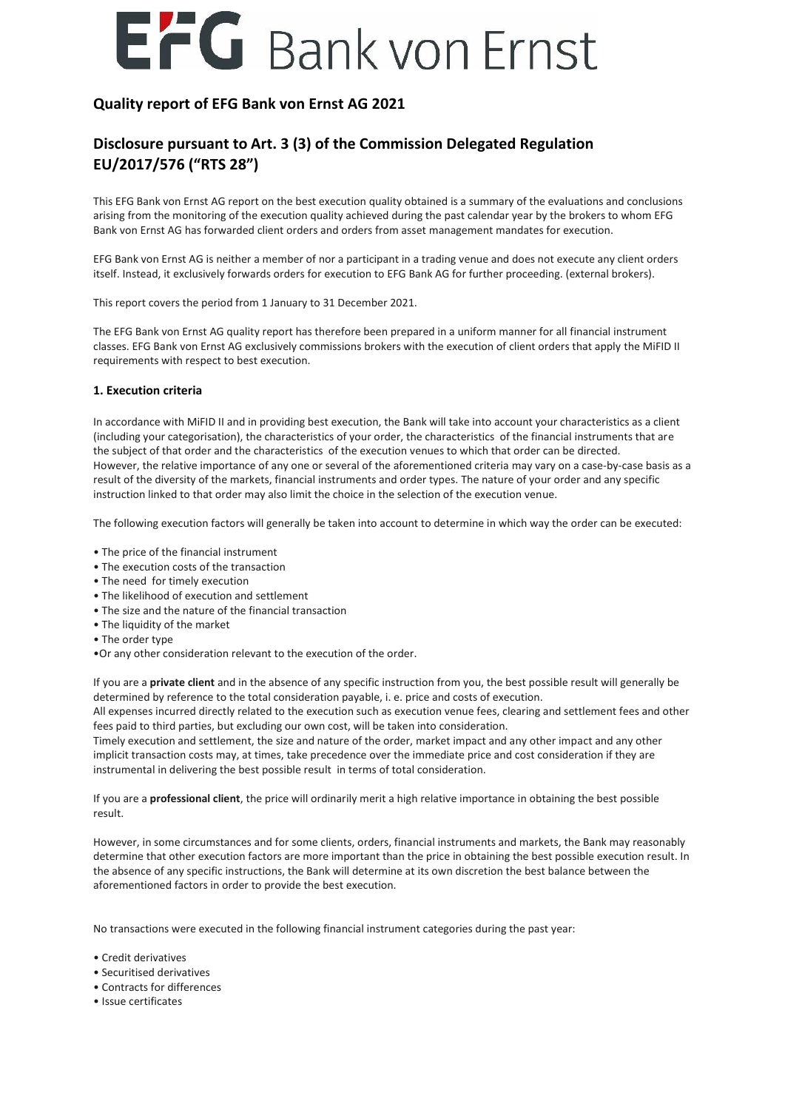# EFG Bank von Ernst

### **Quality report of EFG Bank von Ernst AG 2021**

## **Disclosure pursuant to Art. 3 (3) of the Commission Delegated Regulation EU/2017/576 ("RTS 28")**

This EFG Bank von Ernst AG report on the best execution quality obtained is a summary of the evaluations and conclusions arising from the monitoring of the execution quality achieved during the past calendar year by the brokers to whom EFG Bank von Ernst AG has forwarded client orders and orders from asset management mandates for execution.

EFG Bank von Ernst AG is neither a member of nor a participant in a trading venue and does not execute any client orders itself. Instead, it exclusively forwards orders for execution to EFG Bank AG for further proceeding. (external brokers).

This report covers the period from 1 January to 31 December 2021.

The EFG Bank von Ernst AG quality report has therefore been prepared in a uniform manner for all financial instrument classes. EFG Bank von Ernst AG exclusively commissions brokers with the execution of client orders that apply the MiFID II requirements with respect to best execution.

### **1. Execution criteria**

In accordance with MiFID II and in providing best execution, the Bank will take into account your characteristics as a client (including your categorisation), the characteristics of your order, the characteristics of the financial instruments that are the subject of that order and the characteristics of the execution venues to which that order can be directed. However, the relative importance of any one or several of the aforementioned criteria may vary on a case-by-case basis as a result of the diversity of the markets, financial instruments and order types. The nature of your order and any specific instruction linked to that order may also limit the choice in the selection of the execution venue.

The following execution factors will generally be taken into account to determine in which way the order can be executed:

- The price of the financial instrument
- The execution costs of the transaction
- The need for timely execution
- The likelihood of execution and settlement
- The size and the nature of the financial transaction
- The liquidity of the market
- The order type
- •Or any other consideration relevant to the execution of the order.

If you are a **private client** and in the absence of any specific instruction from you, the best possible result will generally be determined by reference to the total consideration payable, i. e. price and costs of execution.

All expenses incurred directly related to the execution such as execution venue fees, clearing and settlement fees and other fees paid to third parties, but excluding our own cost, will be taken into consideration.

Timely execution and settlement, the size and nature of the order, market impact and any other impact and any other implicit transaction costs may, at times, take precedence over the immediate price and cost consideration if they are instrumental in delivering the best possible result in terms of total consideration.

If you are a **professional client**, the price will ordinarily merit a high relative importance in obtaining the best possible result.

However, in some circumstances and for some clients, orders, financial instruments and markets, the Bank may reasonably determine that other execution factors are more important than the price in obtaining the best possible execution result. In the absence of any specific instructions, the Bank will determine at its own discretion the best balance between the aforementioned factors in order to provide the best execution.

No transactions were executed in the following financial instrument categories during the past year:

• Credit derivatives

- Securitised derivatives
- Contracts for differences
- Issue certificates